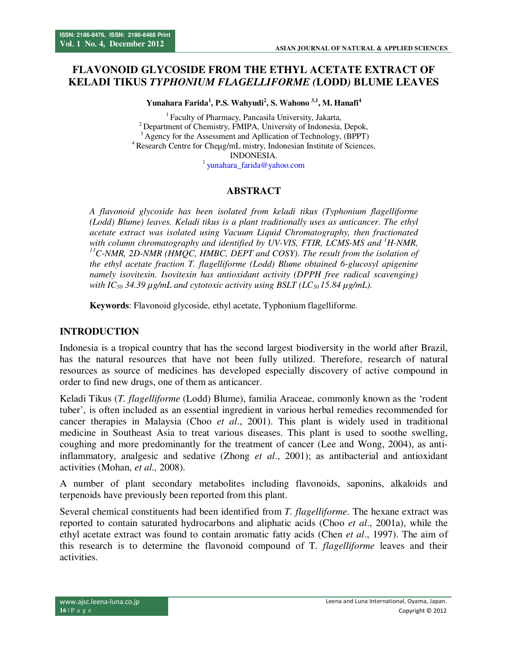# **FLAVONOID GLYCOSIDE FROM THE ETHYL ACETATE EXTRACT OF KELADI TIKUS** *TYPHONIUM FLAGELLIFORME (***LODD***)* **BLUME LEAVES**

**Yunahara Farida<sup>1</sup> , P.S. Wahyudi<sup>2</sup> , S. Wahono 3,1, M. Hanafi<sup>4</sup>**

<sup>1</sup> Faculty of Pharmacy, Pancasila University, Jakarta, <sup>2</sup> Department of Chemistry, FMIPA, University of Indonesia, Depok, <sup>3</sup>Agency for the Assessment and Apllication of Technology, (BPPT) <sup>4</sup> Research Centre for Cheµg/mL mistry, Indonesian Institute of Sciences, INDONESIA. <sup>1</sup> yunahara\_farida@yahoo.com

#### **ABSTRACT**

*A flavonoid glycoside has been isolated from keladi tikus (Typhonium flagelliforme (Lodd) Blume) leaves. Keladi tikus is a plant traditionally uses as anticancer. The ethyl acetate extract was isolated using Vacuum Liquid Chromatography, then fractionated*  with column chromatography and identified by UV-VIS, FTIR, LCMS-MS and <sup>*1*</sup>H-NMR, *<sup>13</sup>C-NMR, 2D-NMR (HMQC, HMBC, DEPT and COSY). The result from the isolation of the ethyl acetate fraction T. flagelliforme (Lodd) Blume obtained 6-glucosyl apigenine namely isovitexin. Isovitexin has antioxidant activity (DPPH free radical scavenging) with IC*<sub>50</sub> 34.39  $\mu$ *g/mL* and cytotoxic activity using BSLT (LC<sub>50</sub> 15.84  $\mu$ *g/mL*).

**Keywords**: Flavonoid glycoside, ethyl acetate, Typhonium flagelliforme.

#### **INTRODUCTION**

Indonesia is a tropical country that has the second largest biodiversity in the world after Brazil, has the natural resources that have not been fully utilized. Therefore, research of natural resources as source of medicines has developed especially discovery of active compound in order to find new drugs, one of them as anticancer.

Keladi Tikus (*T. flagelliforme* (Lodd) Blume), familia Araceae, commonly known as the 'rodent tuber', is often included as an essential ingredient in various herbal remedies recommended for cancer therapies in Malaysia (Choo *et al*., 2001). This plant is widely used in traditional medicine in Southeast Asia to treat various diseases. This plant is used to soothe swelling, coughing and more predominantly for the treatment of cancer (Lee and Wong, 2004), as antiinflammatory, analgesic and sedative (Zhong *et al*., 2001); as antibacterial and antioxidant activities (Mohan, *et al.,* 2008).

A number of plant secondary metabolites including flavonoids, saponins, alkaloids and terpenoids have previously been reported from this plant.

Several chemical constituents had been identified from *T. flagelliforme*. The hexane extract was reported to contain saturated hydrocarbons and aliphatic acids (Choo *et al*., 2001a), while the ethyl acetate extract was found to contain aromatic fatty acids (Chen *et al*., 1997). The aim of this research is to determine the flavonoid compound of T*. flagelliforme* leaves and their activities.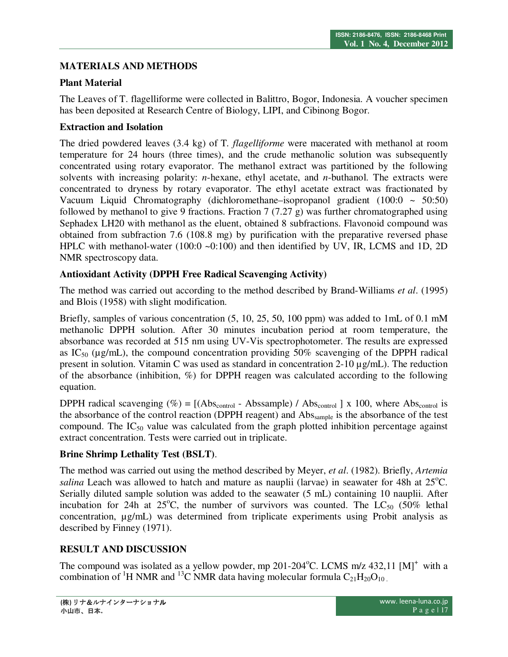## **MATERIALS AND METHODS**

## **Plant Material**

The Leaves of T. flagelliforme were collected in Balittro, Bogor, Indonesia. A voucher specimen has been deposited at Research Centre of Biology, LIPI, and Cibinong Bogor.

#### **Extraction and Isolation**

The dried powdered leaves (3.4 kg) of T*. flagelliforme* were macerated with methanol at room temperature for 24 hours (three times), and the crude methanolic solution was subsequently concentrated using rotary evaporator. The methanol extract was partitioned by the following solvents with increasing polarity: *n*-hexane, ethyl acetate, and *n*-buthanol. The extracts were concentrated to dryness by rotary evaporator. The ethyl acetate extract was fractionated by Vacuum Liquid Chromatography (dichloromethane–isopropanol gradient  $(100:0 \sim 50:50)$ ) followed by methanol to give 9 fractions. Fraction 7 (7.27 g) was further chromatographed using Sephadex LH20 with methanol as the eluent, obtained 8 subfractions. Flavonoid compound was obtained from subfraction 7.6 (108.8 mg) by purification with the preparative reversed phase HPLC with methanol-water (100:0 ~0:100) and then identified by UV, IR, LCMS and 1D, 2D NMR spectroscopy data.

## **Antioxidant Activity (DPPH Free Radical Scavenging Activity)**

The method was carried out according to the method described by Brand-Williams *et al*. (1995) and Blois (1958) with slight modification.

Briefly, samples of various concentration  $(5, 10, 25, 50, 100$  ppm) was added to 1mL of 0.1 mM methanolic DPPH solution. After 30 minutes incubation period at room temperature, the absorbance was recorded at 515 nm using UV-Vis spectrophotometer. The results are expressed as  $IC_{50}$  ( $\mu$ g/mL), the compound concentration providing 50% scavenging of the DPPH radical present in solution. Vitamin C was used as standard in concentration 2-10 µg/mL). The reduction of the absorbance (inhibition, %) for DPPH reagen was calculated according to the following equation.

DPPH radical scavenging  $(\%) = [(\text{Abs}_{\text{control}} - \text{Abs}_{\text{M}})] / (\text{Abs}_{\text{control}} - \text{Abs}_{\text{M}}]$  x 100, where Abscontrol is the absorbance of the control reaction (DPPH reagent) and Abs<sub>sample</sub> is the absorbance of the test compound. The  $IC_{50}$  value was calculated from the graph plotted inhibition percentage against extract concentration. Tests were carried out in triplicate.

## **Brine Shrimp Lethality Test (BSLT)**.

The method was carried out using the method described by Meyer, *et al*. (1982). Briefly, *Artemia salina* Leach was allowed to hatch and mature as nauplii (larvae) in seawater for 48h at  $25^{\circ}$ C. Serially diluted sample solution was added to the seawater (5 mL) containing 10 nauplii. After incubation for 24h at 25<sup>o</sup>C, the number of survivors was counted. The LC<sub>50</sub> (50% lethal concentration, µg/mL) was determined from triplicate experiments using Probit analysis as described by Finney (1971).

## **RESULT AND DISCUSSION**

The compound was isolated as a yellow powder, mp 201-204 °C. LCMS m/z 432,11  $[M]^{+}$  with a combination of <sup>1</sup>H NMR and <sup>13</sup>C NMR data having molecular formula  $C_{21}H_{20}O_{10}$ .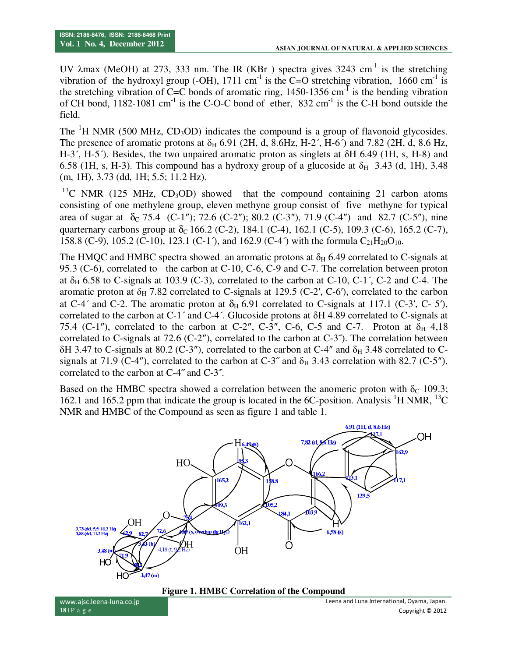UV  $\lambda$ max (MeOH) at 273, 333 nm. The IR (KBr) spectra gives 3243 cm<sup>-1</sup> is the stretching vibration of the hydroxyl group (-OH), 1711 cm<sup>-1</sup> is the C=O stretching vibration, 1660 cm<sup>-1</sup> is the stretching vibration of C=C bonds of aromatic ring,  $1450-1356$  cm<sup>-1</sup> is the bending vibration of CH bond,  $1182-1081$  cm<sup>-1</sup> is the C-O-C bond of ether,  $832$  cm<sup>-1</sup> is the C-H bond outside the field.

The  $H$  NMR (500 MHz, CD<sub>3</sub>OD) indicates the compound is a group of flavonoid glycosides. The presence of aromatic protons at  $\delta_H$  6.91 (2H, d, 8.6Hz, H-2<sup>'</sup>, H-6<sup>'</sup>) and 7.82 (2H, d, 8.6 Hz, H-3´, H-5´). Besides, the two unpaired aromatic proton as singlets at δH 6.49 (1H, s, H-8) and 6.58 (1H, s, H-3). This compound has a hydroxy group of a glucoside at  $\delta_H$  3.43 (d, 1H), 3.48 (m, 1H), 3.73 (dd, 1H; 5.5; 11.2 Hz).

 $13^{\circ}$ C NMR (125 MHz, CD<sub>3</sub>OD) showed that the compound containing 21 carbon atoms consisting of one methylene group, eleven methyne group consist of five methyne for typical area of sugar at  $\delta_c$  75.4 (C-1"); 72.6 (C-2"); 80.2 (C-3"), 71.9 (C-4") and 82.7 (C-5"), nine quarternary carbons group at  $\delta_c$  166.2 (C-2), 184.1 (C-4), 162.1 (C-5), 109.3 (C-6), 165.2 (C-7), 158.8 (C-9), 105.2 (C-10), 123.1 (C-1<sup>-</sup>), and 162.9 (C-4<sup>-</sup>) with the formula  $C_{21}H_{20}O_{10}$ .

The HMQC and HMBC spectra showed an aromatic protons at  $\delta_H$  6.49 correlated to C-signals at 95.3 (C-6), correlated to the carbon at C-10, C-6, C-9 and C-7. The correlation between proton at  $\delta_H$  6.58 to C-signals at 103.9 (C-3), correlated to the carbon at C-10, C-1<sup>'</sup>, C-2 and C-4. The aromatic proton at  $\delta_H$  7.82 correlated to C-signals at 129.5 (C-2', C-6'), correlated to the carbon at C-4<sup> $\degree$ </sup> and C-2. The aromatic proton at  $\delta_H$  6.91 correlated to C-signals at 117.1 (C-3', C- 5'), correlated to the carbon at C-1´ and C-4´. Glucoside protons at δH 4.89 correlated to C-signals at 75.4 (C-1"), correlated to the carbon at C-2", C-3", C-6, C-5 and C-7. Proton at  $\delta_H$  4,18 correlated to C-signals at 72.6 (C-2"), correlated to the carbon at  $C-3$ "). The correlation between  $\delta$ H 3.47 to C-signals at 80.2 (C-3"), correlated to the carbon at C-4" and  $\delta$ <sub>H</sub> 3.48 correlated to Csignals at 71.9 (C-4"), correlated to the carbon at C-3" and  $\delta_H$  3.43 correlation with 82.7 (C-5"), correlated to the carbon at C-4˝ and C-3˝.

Based on the HMBC spectra showed a correlation between the anomeric proton with  $\delta_c$  109.3; 162.1 and 165.2 ppm that indicate the group is located in the 6C-position. Analysis  ${}^{1}$ H NMR,  ${}^{13}$ C NMR and HMBC of the Compound as seen as figure 1 and table 1.



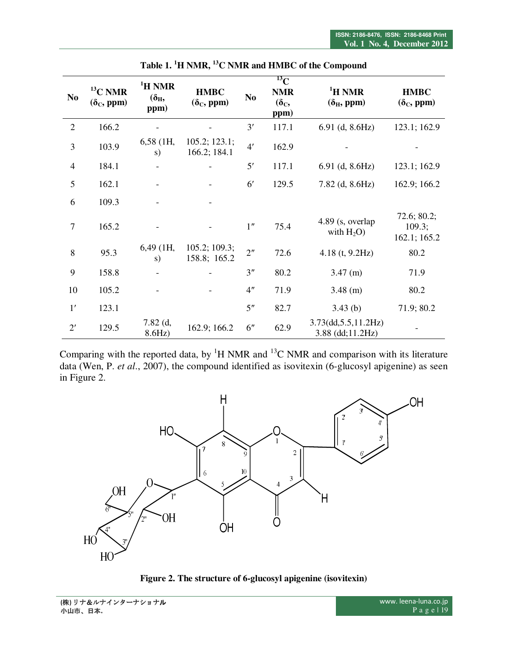|                |                                   |                                             |                                  |                 | $^{13}$ C                            |                                                    |                                        |
|----------------|-----------------------------------|---------------------------------------------|----------------------------------|-----------------|--------------------------------------|----------------------------------------------------|----------------------------------------|
| N <sub>0</sub> | $13$ C NMR<br>$(\delta_{C},$ ppm) | <sup>1</sup> H NMR<br>$(\delta_{H}$<br>ppm) | <b>HMBC</b><br>$(\delta_C,$ ppm) | N <sub>0</sub>  | <b>NMR</b><br>$(\delta_{C},$<br>ppm) | <sup>1</sup> H NMR<br>$(\delta_{\rm H},$ ppm)      | <b>HMBC</b><br>$(\delta_{\rm C},$ ppm) |
| $\overline{2}$ | 166.2                             |                                             |                                  | 3'              | 117.1                                | $6.91$ (d, $8.6Hz$ )                               | 123.1; 162.9                           |
| 3              | 103.9                             | $6,58$ (1H,<br>s)                           | 105.2; 123.1;<br>166.2; 184.1    | 4'              | 162.9                                |                                                    |                                        |
| $\overline{4}$ | 184.1                             |                                             |                                  | 5'              | 117.1                                | $6.91$ (d, $8.6Hz$ )                               | 123.1; 162.9                           |
| 5              | 162.1                             |                                             |                                  | $6^{\prime}$    | 129.5                                | $7.82$ (d, $8.6Hz$ )                               | 162.9; 166.2                           |
| 6              | 109.3                             |                                             |                                  |                 |                                      |                                                    |                                        |
| 7              | 165.2                             |                                             |                                  | 1 <sup>''</sup> | 75.4                                 | 4.89 (s, overlap<br>with $H_2O$ )                  | 72.6; 80.2;<br>109.3;<br>162.1; 165.2  |
| 8              | 95.3                              | $6,49$ (1H,<br>s)                           | 105.2; 109.3;<br>158.8; 165.2    | 2 <sup>n</sup>  | 72.6                                 | 4.18 $(t, 9.2Hz)$                                  | 80.2                                   |
| 9              | 158.8                             |                                             |                                  | 3 <sup>n</sup>  | 80.2                                 | $3.47$ (m)                                         | 71.9                                   |
| 10             | 105.2                             |                                             |                                  | 4 <sup>n</sup>  | 71.9                                 | $3.48$ (m)                                         | 80.2                                   |
| 1'             | 123.1                             |                                             |                                  | 5 <sup>''</sup> | 82.7                                 | 3.43(b)                                            | 71.9; 80.2                             |
| $2^{\prime}$   | 129.5                             | $7.82$ (d,<br>8.6Hz)                        | 162.9; 166.2                     | 6"              | 62.9                                 | $3.73$ (dd, $5.5$ , $11.2$ Hz)<br>3.88 (dd;11.2Hz) |                                        |

**Table 1. <sup>1</sup>H NMR, <sup>13</sup>C NMR and HMBC of the Compound** 

Comparing with the reported data, by  ${}^{1}H$  NMR and  ${}^{13}C$  NMR and comparison with its literature data (Wen, P. *et al*., 2007), the compound identified as isovitexin (6-glucosyl apigenine) as seen in Figure 2.



**Figure 2. The structure of 6-glucosyl apigenine (isovitexin)**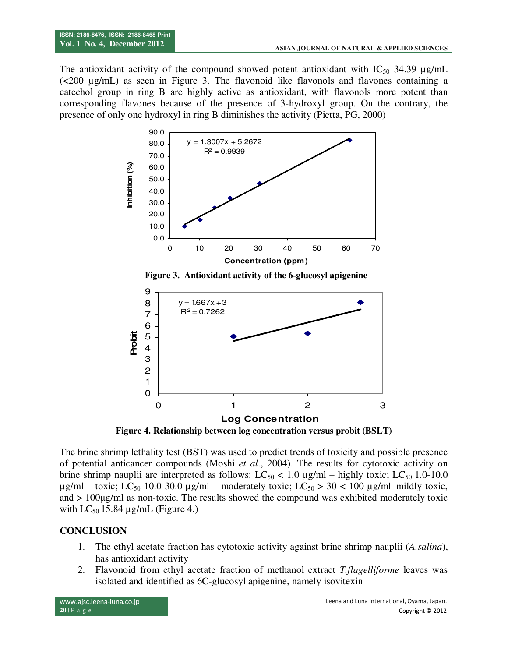The antioxidant activity of the compound showed potent antioxidant with  $IC_{50}$  34.39  $\mu$ g/mL (<200 µg/mL) as seen in Figure 3. The flavonoid like flavonols and flavones containing a catechol group in ring B are highly active as antioxidant, with flavonols more potent than corresponding flavones because of the presence of 3-hydroxyl group. On the contrary, the presence of only one hydroxyl in ring B diminishes the activity (Pietta, PG, 2000)



 **Figure 3. Antioxidant activity of the 6-glucosyl apigenine** 



**Figure 4. Relationship between log concentration versus probit (BSLT)** 

The brine shrimp lethality test (BST) was used to predict trends of toxicity and possible presence of potential anticancer compounds (Moshi *et al*., 2004). The results for cytotoxic activity on brine shrimp nauplii are interpreted as follows:  $LC_{50}$  < 1.0  $\mu$ g/ml – highly toxic;  $LC_{50}$  1.0-10.0  $\mu$ g/ml – toxic; LC<sub>50</sub> 10.0-30.0  $\mu$ g/ml – moderately toxic; LC<sub>50</sub> > 30 < 100  $\mu$ g/ml–mildly toxic, and > 100µg/ml as non-toxic. The results showed the compound was exhibited moderately toxic with  $LC_{50}$  15.84  $\mu$ g/mL (Figure 4.)

## **CONCLUSION**

- 1. The ethyl acetate fraction has cytotoxic activity against brine shrimp nauplii (*A.salina*), has antioxidant activity
- 2. Flavonoid from ethyl acetate fraction of methanol extract *T.flagelliforme* leaves was isolated and identified as 6C-glucosyl apigenine, namely isovitexin